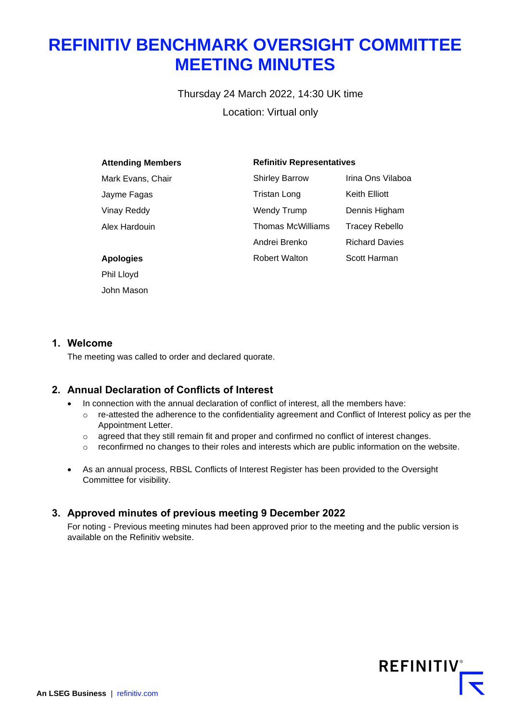# **REFINITIV BENCHMARK OVERSIGHT COMMITTEE MEETING MINUTES**

Thursday 24 March 2022, 14:30 UK time Location: Virtual only

| <b>Attending Members</b> | <b>Refinitiv Representatives</b> |                       |
|--------------------------|----------------------------------|-----------------------|
| Mark Evans, Chair        | <b>Shirley Barrow</b>            | Irina Ons Vilaboa     |
| Jayme Fagas              | Tristan Long                     | Keith Elliott         |
| Vinay Reddy              | <b>Wendy Trump</b>               | Dennis Higham         |
| Alex Hardouin            | Thomas McWilliams                | Tracey Rebello        |
|                          | Andrei Brenko                    | <b>Richard Davies</b> |
| <b>Apologies</b>         | <b>Robert Walton</b>             | Scott Harman          |
| Phil Lloyd               |                                  |                       |

#### **1. Welcome**

John Mason

The meeting was called to order and declared quorate.

# **2. Annual Declaration of Conflicts of Interest**

- In connection with the annual declaration of conflict of interest, all the members have:
	- $\circ$  re-attested the adherence to the confidentiality agreement and Conflict of Interest policy as per the Appointment Letter.
	- o agreed that they still remain fit and proper and confirmed no conflict of interest changes.
	- $\circ$  reconfirmed no changes to their roles and interests which are public information on the website.
- As an annual process, RBSL Conflicts of Interest Register has been provided to the Oversight Committee for visibility.

#### **3. Approved minutes of previous meeting 9 December 2022**

For noting - Previous meeting minutes had been approved prior to the meeting and the public version is available on the Refinitiv website.

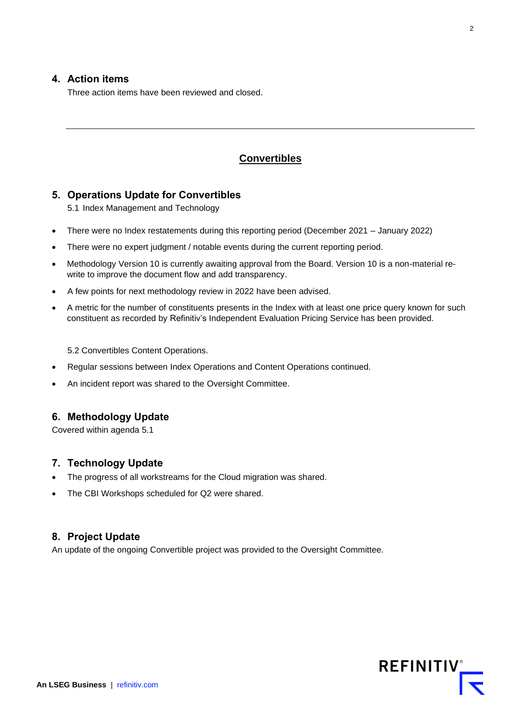#### **4. Action items**

Three action items have been reviewed and closed.

## **Convertibles**

#### **5. Operations Update for Convertibles**

5.1 Index Management and Technology

- There were no Index restatements during this reporting period (December 2021 January 2022)
- There were no expert judgment / notable events during the current reporting period.
- Methodology Version 10 is currently awaiting approval from the Board. Version 10 is a non-material rewrite to improve the document flow and add transparency.
- A few points for next methodology review in 2022 have been advised.
- A metric for the number of constituents presents in the Index with at least one price query known for such constituent as recorded by Refinitiv's Independent Evaluation Pricing Service has been provided.

5.2 Convertibles Content Operations.

- Regular sessions between Index Operations and Content Operations continued.
- An incident report was shared to the Oversight Committee.

# **6. Methodology Update**

Covered within agenda 5.1

#### **7. Technology Update**

- The progress of all workstreams for the Cloud migration was shared.
- The CBI Workshops scheduled for Q2 were shared.

#### **8. Project Update**

An update of the ongoing Convertible project was provided to the Oversight Committee.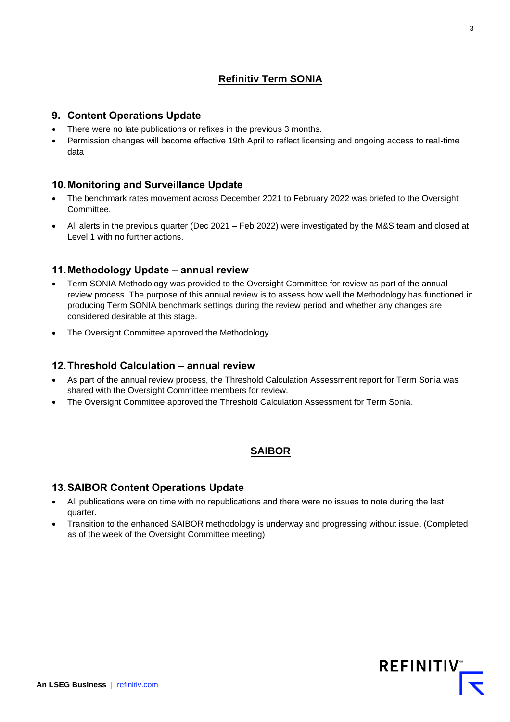# **Refinitiv Term SONIA**

## **9. Content Operations Update**

- There were no late publications or refixes in the previous 3 months.
- Permission changes will become effective 19th April to reflect licensing and ongoing access to real-time data

# **10.Monitoring and Surveillance Update**

- The benchmark rates movement across December 2021 to February 2022 was briefed to the Oversight Committee.
- All alerts in the previous quarter (Dec 2021 Feb 2022) were investigated by the M&S team and closed at Level 1 with no further actions.

# **11.Methodology Update – annual review**

- Term SONIA Methodology was provided to the Oversight Committee for review as part of the annual review process. The purpose of this annual review is to assess how well the Methodology has functioned in producing Term SONIA benchmark settings during the review period and whether any changes are considered desirable at this stage.
- The Oversight Committee approved the Methodology.

## **12.Threshold Calculation – annual review**

- As part of the annual review process, the Threshold Calculation Assessment report for Term Sonia was shared with the Oversight Committee members for review.
- The Oversight Committee approved the Threshold Calculation Assessment for Term Sonia.

# **SAIBOR**

# **13.SAIBOR Content Operations Update**

- All publications were on time with no republications and there were no issues to note during the last quarter.
- Transition to the enhanced SAIBOR methodology is underway and progressing without issue. (Completed as of the week of the Oversight Committee meeting)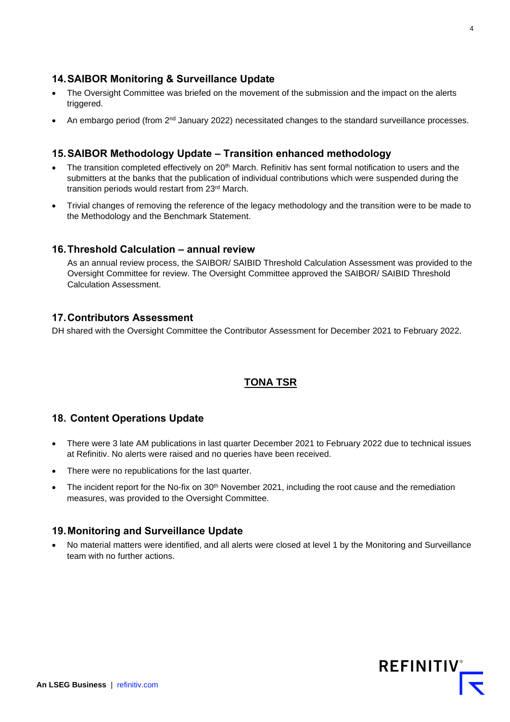#### **14.SAIBOR Monitoring & Surveillance Update**

- The Oversight Committee was briefed on the movement of the submission and the impact on the alerts triggered.
- An embargo period (from  $2<sup>nd</sup>$  January 2022) necessitated changes to the standard surveillance processes.

#### **15.SAIBOR Methodology Update – Transition enhanced methodology**

- The transition completed effectively on  $20<sup>th</sup>$  March. Refinitiv has sent formal notification to users and the submitters at the banks that the publication of individual contributions which were suspended during the transition periods would restart from 23rd March.
- Trivial changes of removing the reference of the legacy methodology and the transition were to be made to the Methodology and the Benchmark Statement.

#### **16.Threshold Calculation – annual review**

As an annual review process, the SAIBOR/ SAIBID Threshold Calculation Assessment was provided to the Oversight Committee for review. The Oversight Committee approved the SAIBOR/ SAIBID Threshold Calculation Assessment.

#### **17.Contributors Assessment**

DH shared with the Oversight Committee the Contributor Assessment for December 2021 to February 2022.

#### **TONA TSR**

#### **18. Content Operations Update**

- There were 3 late AM publications in last quarter December 2021 to February 2022 due to technical issues at Refinitiv. No alerts were raised and no queries have been received.
- There were no republications for the last quarter.
- The incident report for the No-fix on 30<sup>th</sup> November 2021, including the root cause and the remediation measures, was provided to the Oversight Committee.

#### **19.Monitoring and Surveillance Update**

• No material matters were identified, and all alerts were closed at level 1 by the Monitoring and Surveillance team with no further actions.

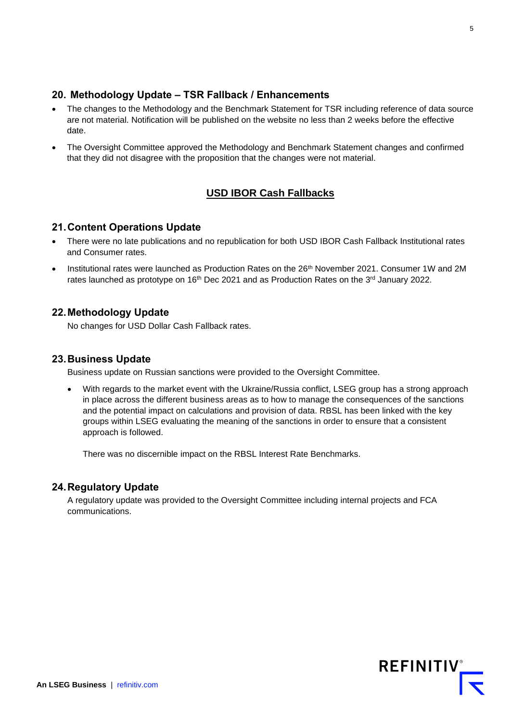# **20. Methodology Update – TSR Fallback / Enhancements**

- The changes to the Methodology and the Benchmark Statement for TSR including reference of data source are not material. Notification will be published on the website no less than 2 weeks before the effective date.
- The Oversight Committee approved the Methodology and Benchmark Statement changes and confirmed that they did not disagree with the proposition that the changes were not material.

# **USD IBOR Cash Fallbacks**

## **21.Content Operations Update**

- There were no late publications and no republication for both USD IBOR Cash Fallback Institutional rates and Consumer rates.
- Institutional rates were launched as Production Rates on the 26<sup>th</sup> November 2021. Consumer 1W and 2M rates launched as prototype on  $16<sup>th</sup>$  Dec 2021 and as Production Rates on the  $3<sup>rd</sup>$  January 2022.

# **22.Methodology Update**

No changes for USD Dollar Cash Fallback rates.

#### **23.Business Update**

Business update on Russian sanctions were provided to the Oversight Committee.

• With regards to the market event with the Ukraine/Russia conflict, LSEG group has a strong approach in place across the different business areas as to how to manage the consequences of the sanctions and the potential impact on calculations and provision of data. RBSL has been linked with the key groups within LSEG evaluating the meaning of the sanctions in order to ensure that a consistent approach is followed.

There was no discernible impact on the RBSL Interest Rate Benchmarks.

# **24.Regulatory Update**

A regulatory update was provided to the Oversight Committee including internal projects and FCA communications.